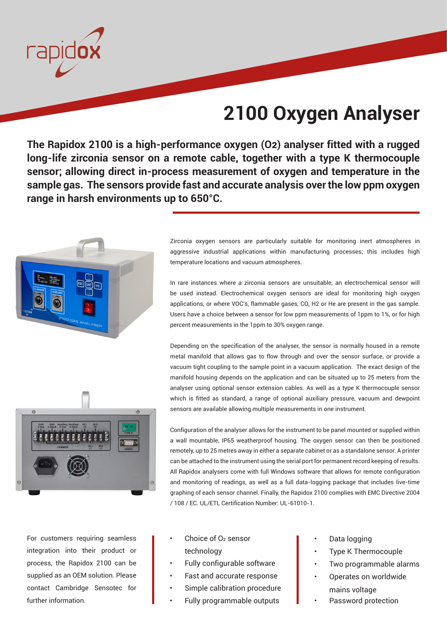

# **2100 Oxygen Analyser**

**The Rapidox 2100 is a high-performance oxygen (O2) analyser fitted with a rugged long-life zirconia sensor on a remote cable, together with a type K thermocouple sensor; allowing direct in-process measurement of oxygen and temperature in the sample gas. The sensors provide fast and accurate analysis over the low ppm oxygen range in harsh environments up to 650°C.** 



Zirconia oxygen sensors are particularly suitable for monitoring inert atmospheres in aggressive industrial applications within manufacturing processes; this includes high temperature locations and vacuum atmospheres.

In rare instances where a zirconia sensors are unsuitable, an electrochemical sensor will be used instead. Electrochemical oxygen sensors are ideal for monitoring high oxygen applications, or where VOC's, flammable gases, CO, H2 or He are present in the gas sample. Users have a choice between a sensor for low ppm measurements of 1ppm to 1%, or for high percent measurements in the 1ppm to 30% oxygen range.

Depending on the specification of the analyser, the sensor is normally housed in a remote metal manifold that allows gas to flow through and over the sensor surface, or provide a vacuum tight coupling to the sample point in a vacuum application. The exact design of the manifold housing depends on the application and can be situated up to 25 meters from the analyser using optional sensor extension cables. As well as a type K thermocouple sensor which is fitted as standard, a range of optional auxiliary pressure, vacuum and dewpoint sensors are available allowing multiple measurements in one instrument.



Configuration of the analyser allows for the instrument to be panel mounted or supplied within a wall mountable, IP65 weatherproof housing. The oxygen sensor can then be positioned remotely, up to 25 metres away in either a separate cabinet or as a standalone sensor. A printer can be attached to the instrument using the serial port for permanent record keeping of results. All Rapidox analysers come with full Windows software that allows for remote configuration and monitoring of readings, as well as a full data-logging package that includes live-time graphing of each sensor channel. Finally, the Rapidox 2100 complies with EMC Directive 2004 / 108 / EC. UL/ETL Certification Number: UL-61010-1.

For customers requiring seamless integration into their product or process, the Rapidox 2100 can be supplied as an OEM solution. Please contact Cambridge Sensotec for further information.

- Choice of O<sub>2</sub> sensor technology
- Fully configurable software
- Fast and accurate response
- Simple calibration procedure
- Fully programmable outputs
- Data logging
- Type K Thermocouple
- Two programmable alarms
- Operates on worldwide mains voltage
- Password protection